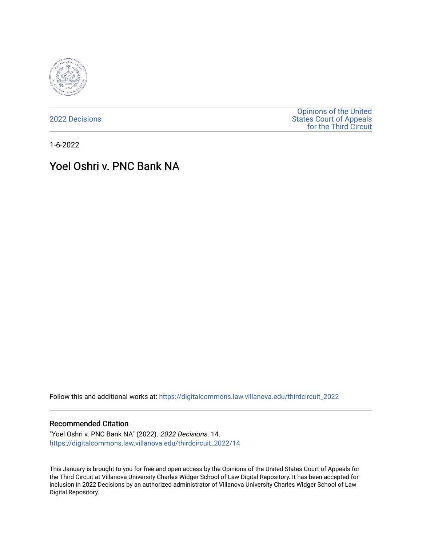

[2022 Decisions](https://digitalcommons.law.villanova.edu/thirdcircuit_2022)

[Opinions of the United](https://digitalcommons.law.villanova.edu/thirdcircuit)  [States Court of Appeals](https://digitalcommons.law.villanova.edu/thirdcircuit)  [for the Third Circuit](https://digitalcommons.law.villanova.edu/thirdcircuit) 

1-6-2022

# Yoel Oshri v. PNC Bank NA

Follow this and additional works at: [https://digitalcommons.law.villanova.edu/thirdcircuit\\_2022](https://digitalcommons.law.villanova.edu/thirdcircuit_2022?utm_source=digitalcommons.law.villanova.edu%2Fthirdcircuit_2022%2F14&utm_medium=PDF&utm_campaign=PDFCoverPages) 

#### Recommended Citation

"Yoel Oshri v. PNC Bank NA" (2022). 2022 Decisions. 14. [https://digitalcommons.law.villanova.edu/thirdcircuit\\_2022/14](https://digitalcommons.law.villanova.edu/thirdcircuit_2022/14?utm_source=digitalcommons.law.villanova.edu%2Fthirdcircuit_2022%2F14&utm_medium=PDF&utm_campaign=PDFCoverPages)

This January is brought to you for free and open access by the Opinions of the United States Court of Appeals for the Third Circuit at Villanova University Charles Widger School of Law Digital Repository. It has been accepted for inclusion in 2022 Decisions by an authorized administrator of Villanova University Charles Widger School of Law Digital Repository.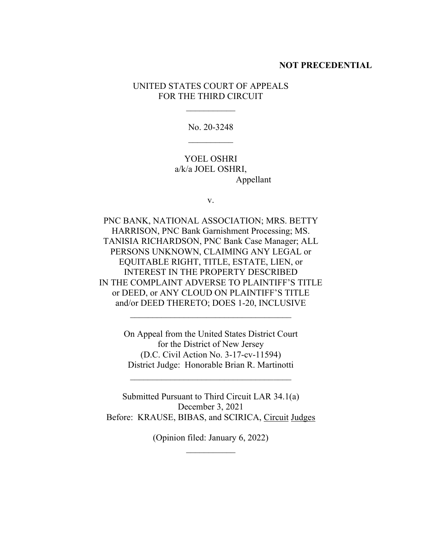### **NOT PRECEDENTIAL**

UNITED STATES COURT OF APPEALS FOR THE THIRD CIRCUIT

 $\frac{1}{2}$ 

No. 20-3248  $\frac{1}{2}$ 

YOEL OSHRI a/k/a JOEL OSHRI, Appellant

v.

PNC BANK, NATIONAL ASSOCIATION; MRS. BETTY HARRISON, PNC Bank Garnishment Processing; MS. TANISIA RICHARDSON, PNC Bank Case Manager; ALL PERSONS UNKNOWN, CLAIMING ANY LEGAL or EQUITABLE RIGHT, TITLE, ESTATE, LIEN, or INTEREST IN THE PROPERTY DESCRIBED IN THE COMPLAINT ADVERSE TO PLAINTIFF'S TITLE or DEED, or ANY CLOUD ON PLAINTIFF'S TITLE and/or DEED THERETO; DOES 1-20, INCLUSIVE

> On Appeal from the United States District Court for the District of New Jersey (D.C. Civil Action No. 3-17-cv-11594) District Judge: Honorable Brian R. Martinotti

\_\_\_\_\_\_\_\_\_\_\_\_\_\_\_\_\_\_\_\_\_\_\_\_\_\_\_\_\_\_\_\_\_\_\_\_

\_\_\_\_\_\_\_\_\_\_\_\_\_\_\_\_\_\_\_\_\_\_\_\_\_\_\_\_\_\_\_\_\_\_\_\_

Submitted Pursuant to Third Circuit LAR 34.1(a) December 3, 2021 Before: KRAUSE, BIBAS, and SCIRICA, Circuit Judges

> (Opinion filed: January 6, 2022)  $\frac{1}{2}$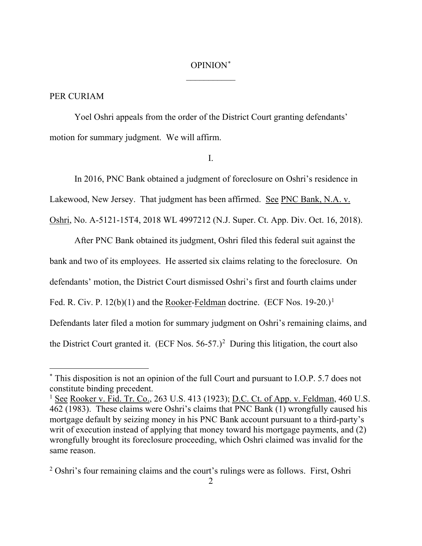## OPINION\*  $\overline{\phantom{a}}$

### PER CURIAM

Yoel Oshri appeals from the order of the District Court granting defendants' motion for summary judgment. We will affirm.

I.

In 2016, PNC Bank obtained a judgment of foreclosure on Oshri's residence in Lakewood, New Jersey. That judgment has been affirmed. See PNC Bank, N.A. v.

Oshri, No. A-5121-15T4, 2018 WL 4997212 (N.J. Super. Ct. App. Div. Oct. 16, 2018).

After PNC Bank obtained its judgment, Oshri filed this federal suit against the bank and two of its employees. He asserted six claims relating to the foreclosure. On defendants' motion, the District Court dismissed Oshri's first and fourth claims under Fed. R. Civ. P.  $12(b)(1)$  and the **Rooker-Feldman** doctrine. (ECF Nos.  $19-20$ .)<sup>1</sup> Defendants later filed a motion for summary judgment on Oshri's remaining claims, and the District Court granted it.  $(ECF$  Nos.  $56-57.)^2$  During this litigation, the court also

<sup>\*</sup> This disposition is not an opinion of the full Court and pursuant to I.O.P. 5.7 does not constitute binding precedent.

<sup>&</sup>lt;sup>1</sup> See Rooker v. Fid. Tr. Co., 263 U.S. 413 (1923); D.C. Ct. of App. v. Feldman, 460 U.S. 462 (1983). These claims were Oshri's claims that PNC Bank (1) wrongfully caused his mortgage default by seizing money in his PNC Bank account pursuant to a third-party's writ of execution instead of applying that money toward his mortgage payments, and (2) wrongfully brought its foreclosure proceeding, which Oshri claimed was invalid for the same reason.

<sup>&</sup>lt;sup>2</sup> Oshri's four remaining claims and the court's rulings were as follows. First, Oshri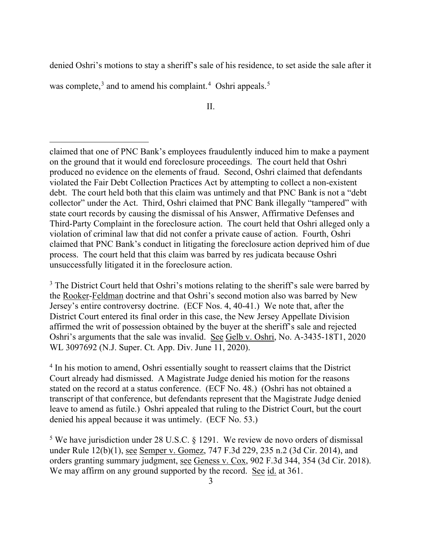denied Oshri's motions to stay a sheriff's sale of his residence, to set aside the sale after it

was complete,<sup>3</sup> and to amend his complaint.<sup>4</sup> Oshri appeals.<sup>5</sup>

II.

claimed that one of PNC Bank's employees fraudulently induced him to make a payment on the ground that it would end foreclosure proceedings. The court held that Oshri produced no evidence on the elements of fraud. Second, Oshri claimed that defendants violated the Fair Debt Collection Practices Act by attempting to collect a non-existent debt. The court held both that this claim was untimely and that PNC Bank is not a "debt collector" under the Act. Third, Oshri claimed that PNC Bank illegally "tampered" with state court records by causing the dismissal of his Answer, Affirmative Defenses and Third-Party Complaint in the foreclosure action. The court held that Oshri alleged only a violation of criminal law that did not confer a private cause of action. Fourth, Oshri claimed that PNC Bank's conduct in litigating the foreclosure action deprived him of due process. The court held that this claim was barred by res judicata because Oshri unsuccessfully litigated it in the foreclosure action.

 $3$  The District Court held that Oshri's motions relating to the sheriff's sale were barred by the Rooker-Feldman doctrine and that Oshri's second motion also was barred by New Jersey's entire controversy doctrine. (ECF Nos. 4, 40-41.) We note that, after the District Court entered its final order in this case, the New Jersey Appellate Division affirmed the writ of possession obtained by the buyer at the sheriff's sale and rejected Oshri's arguments that the sale was invalid. See Gelb v. Oshri, No. A-3435-18T1, 2020 WL 3097692 (N.J. Super. Ct. App. Div. June 11, 2020).

<sup>4</sup> In his motion to amend, Oshri essentially sought to reassert claims that the District Court already had dismissed. A Magistrate Judge denied his motion for the reasons stated on the record at a status conference. (ECF No. 48.) (Oshri has not obtained a transcript of that conference, but defendants represent that the Magistrate Judge denied leave to amend as futile.) Oshri appealed that ruling to the District Court, but the court denied his appeal because it was untimely. (ECF No. 53.)

<sup>5</sup> We have jurisdiction under 28 U.S.C. § 1291. We review de novo orders of dismissal under Rule 12(b)(1), see Semper v. Gomez, 747 F.3d 229, 235 n.2 (3d Cir. 2014), and orders granting summary judgment, see Geness v. Cox, 902 F.3d 344, 354 (3d Cir. 2018). We may affirm on any ground supported by the record. See id. at 361.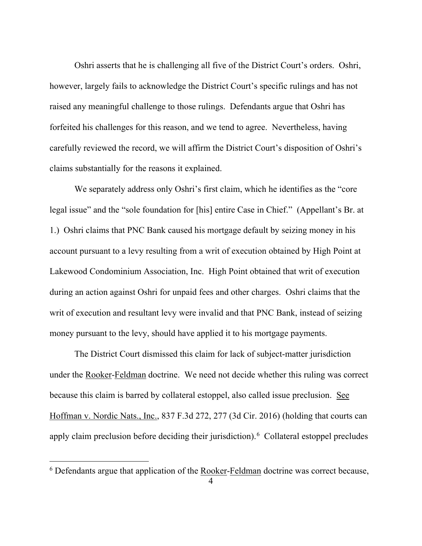Oshri asserts that he is challenging all five of the District Court's orders. Oshri, however, largely fails to acknowledge the District Court's specific rulings and has not raised any meaningful challenge to those rulings. Defendants argue that Oshri has forfeited his challenges for this reason, and we tend to agree. Nevertheless, having carefully reviewed the record, we will affirm the District Court's disposition of Oshri's claims substantially for the reasons it explained.

We separately address only Oshri's first claim, which he identifies as the "core legal issue" and the "sole foundation for [his] entire Case in Chief." (Appellant's Br. at 1.) Oshri claims that PNC Bank caused his mortgage default by seizing money in his account pursuant to a levy resulting from a writ of execution obtained by High Point at Lakewood Condominium Association, Inc. High Point obtained that writ of execution during an action against Oshri for unpaid fees and other charges. Oshri claims that the writ of execution and resultant levy were invalid and that PNC Bank, instead of seizing money pursuant to the levy, should have applied it to his mortgage payments.

The District Court dismissed this claim for lack of subject-matter jurisdiction under the Rooker-Feldman doctrine. We need not decide whether this ruling was correct because this claim is barred by collateral estoppel, also called issue preclusion. See Hoffman v. Nordic Nats., Inc., 837 F.3d 272, 277 (3d Cir. 2016) (holding that courts can apply claim preclusion before deciding their jurisdiction).<sup>6</sup> Collateral estoppel precludes

<sup>6</sup> Defendants argue that application of the Rooker-Feldman doctrine was correct because,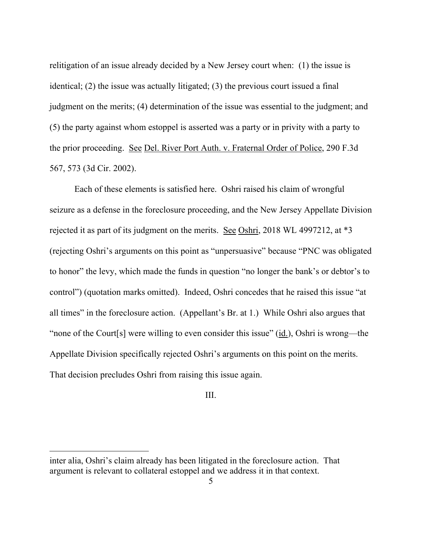relitigation of an issue already decided by a New Jersey court when: (1) the issue is identical; (2) the issue was actually litigated; (3) the previous court issued a final judgment on the merits; (4) determination of the issue was essential to the judgment; and (5) the party against whom estoppel is asserted was a party or in privity with a party to the prior proceeding. See Del. River Port Auth. v. Fraternal Order of Police, 290 F.3d 567, 573 (3d Cir. 2002).

Each of these elements is satisfied here. Oshri raised his claim of wrongful seizure as a defense in the foreclosure proceeding, and the New Jersey Appellate Division rejected it as part of its judgment on the merits. See Oshri, 2018 WL 4997212, at \*3 (rejecting Oshri's arguments on this point as "unpersuasive" because "PNC was obligated to honor" the levy, which made the funds in question "no longer the bank's or debtor's to control") (quotation marks omitted). Indeed, Oshri concedes that he raised this issue "at all times" in the foreclosure action. (Appellant's Br. at 1.) While Oshri also argues that "none of the Court[s] were willing to even consider this issue" (id.), Oshri is wrong—the Appellate Division specifically rejected Oshri's arguments on this point on the merits. That decision precludes Oshri from raising this issue again.

### III.

inter alia, Oshri's claim already has been litigated in the foreclosure action. That argument is relevant to collateral estoppel and we address it in that context.